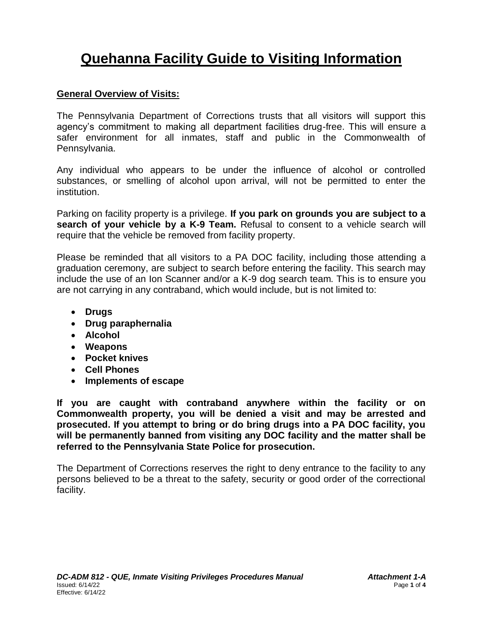# **Quehanna Facility Guide to Visiting Information**

## **General Overview of Visits:**

The Pennsylvania Department of Corrections trusts that all visitors will support this agency's commitment to making all department facilities drug-free. This will ensure a safer environment for all inmates, staff and public in the Commonwealth of Pennsylvania.

Any individual who appears to be under the influence of alcohol or controlled substances, or smelling of alcohol upon arrival, will not be permitted to enter the institution.

Parking on facility property is a privilege. **If you park on grounds you are subject to a search of your vehicle by a K-9 Team.** Refusal to consent to a vehicle search will require that the vehicle be removed from facility property.

Please be reminded that all visitors to a PA DOC facility, including those attending a graduation ceremony, are subject to search before entering the facility. This search may include the use of an Ion Scanner and/or a K-9 dog search team. This is to ensure you are not carrying in any contraband, which would include, but is not limited to:

- **Drugs**
- **Drug paraphernalia**
- **Alcohol**
- **Weapons**
- **Pocket knives**
- **Cell Phones**
- **Implements of escape**

**If you are caught with contraband anywhere within the facility or on Commonwealth property, you will be denied a visit and may be arrested and prosecuted. If you attempt to bring or do bring drugs into a PA DOC facility, you will be permanently banned from visiting any DOC facility and the matter shall be referred to the Pennsylvania State Police for prosecution.** 

The Department of Corrections reserves the right to deny entrance to the facility to any persons believed to be a threat to the safety, security or good order of the correctional facility.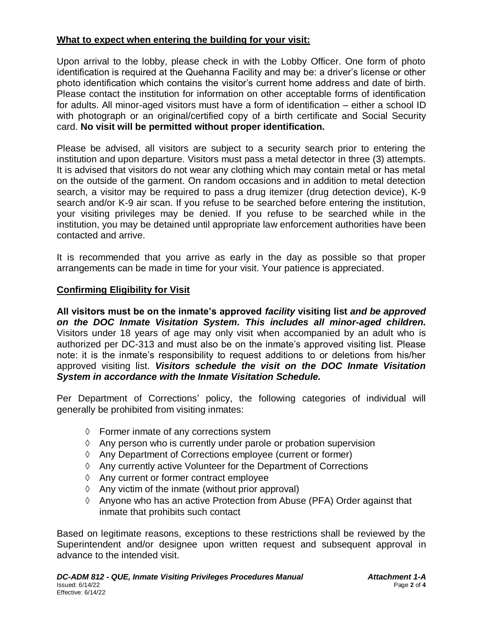### **What to expect when entering the building for your visit:**

Upon arrival to the lobby, please check in with the Lobby Officer. One form of photo identification is required at the Quehanna Facility and may be: a driver's license or other photo identification which contains the visitor's current home address and date of birth. Please contact the institution for information on other acceptable forms of identification for adults. All minor-aged visitors must have a form of identification – either a school ID with photograph or an original/certified copy of a birth certificate and Social Security card. **No visit will be permitted without proper identification.**

Please be advised, all visitors are subject to a security search prior to entering the institution and upon departure. Visitors must pass a metal detector in three (3) attempts. It is advised that visitors do not wear any clothing which may contain metal or has metal on the outside of the garment. On random occasions and in addition to metal detection search, a visitor may be required to pass a drug itemizer (drug detection device), K-9 search and/or K-9 air scan. If you refuse to be searched before entering the institution, your visiting privileges may be denied. If you refuse to be searched while in the institution, you may be detained until appropriate law enforcement authorities have been contacted and arrive.

It is recommended that you arrive as early in the day as possible so that proper arrangements can be made in time for your visit. Your patience is appreciated.

### **Confirming Eligibility for Visit**

**All visitors must be on the inmate's approved** *facility* **visiting list** *and be approved on the DOC Inmate Visitation System. This includes all minor-aged children.* Visitors under 18 years of age may only visit when accompanied by an adult who is authorized per DC-313 and must also be on the inmate's approved visiting list. Please note: it is the inmate's responsibility to request additions to or deletions from his/her approved visiting list. *Visitors schedule the visit on the DOC Inmate Visitation System in accordance with the Inmate Visitation Schedule.*

Per Department of Corrections' policy, the following categories of individual will generally be prohibited from visiting inmates:

- $\Diamond$  Former inmate of any corrections system
- $\Diamond$  Any person who is currently under parole or probation supervision
- Any Department of Corrections employee (current or former)
- $\Diamond$  Any currently active Volunteer for the Department of Corrections
- Any current or former contract employee
- $\Diamond$  Any victim of the inmate (without prior approval)
- $\Diamond$  Anyone who has an active Protection from Abuse (PFA) Order against that inmate that prohibits such contact

Based on legitimate reasons, exceptions to these restrictions shall be reviewed by the Superintendent and/or designee upon written request and subsequent approval in advance to the intended visit.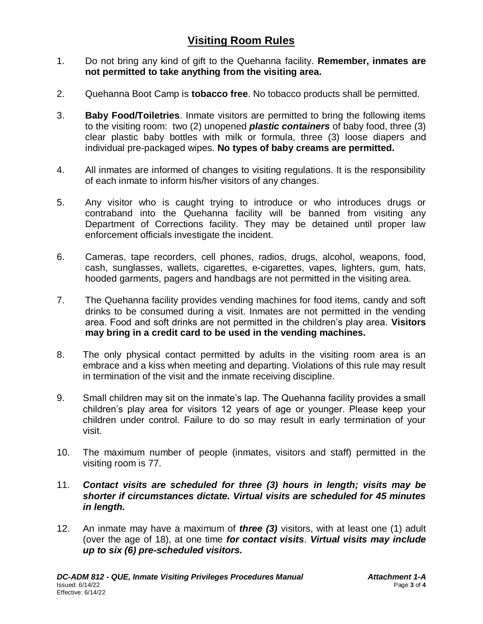# **Visiting Room Rules**

- 1. Do not bring any kind of gift to the Quehanna facility. **Remember, inmates are not permitted to take anything from the visiting area.**
- 2. Quehanna Boot Camp is **tobacco free**. No tobacco products shall be permitted.
- 3. **Baby Food/Toiletries**. Inmate visitors are permitted to bring the following items to the visiting room: two (2) unopened *plastic containers* of baby food, three (3) clear plastic baby bottles with milk or formula, three (3) loose diapers and individual pre-packaged wipes. **No types of baby creams are permitted.**
- 4. All inmates are informed of changes to visiting regulations. It is the responsibility of each inmate to inform his/her visitors of any changes.
- 5. Any visitor who is caught trying to introduce or who introduces drugs or contraband into the Quehanna facility will be banned from visiting any Department of Corrections facility. They may be detained until proper law enforcement officials investigate the incident.
- 6. Cameras, tape recorders, cell phones, radios, drugs, alcohol, weapons, food, cash, sunglasses, wallets, cigarettes, e-cigarettes, vapes, lighters, gum, hats, hooded garments, pagers and handbags are not permitted in the visiting area.
- 7. The Quehanna facility provides vending machines for food items, candy and soft drinks to be consumed during a visit. Inmates are not permitted in the vending area. Food and soft drinks are not permitted in the children's play area. **Visitors may bring in a credit card to be used in the vending machines.**
- 8. The only physical contact permitted by adults in the visiting room area is an embrace and a kiss when meeting and departing. Violations of this rule may result in termination of the visit and the inmate receiving discipline.
- 9. Small children may sit on the inmate's lap. The Quehanna facility provides a small children's play area for visitors 12 years of age or younger. Please keep your children under control. Failure to do so may result in early termination of your visit.
- 10. The maximum number of people (inmates, visitors and staff) permitted in the visiting room is 77.

### 11. *Contact visits are scheduled for three (3) hours in length; visits may be shorter if circumstances dictate. Virtual visits are scheduled for 45 minutes in length.*

12. An inmate may have a maximum of *three (3)* visitors, with at least one (1) adult (over the age of 18), at one time *for contact visits*. *Virtual visits may include up to six (6) pre-scheduled visitors.*